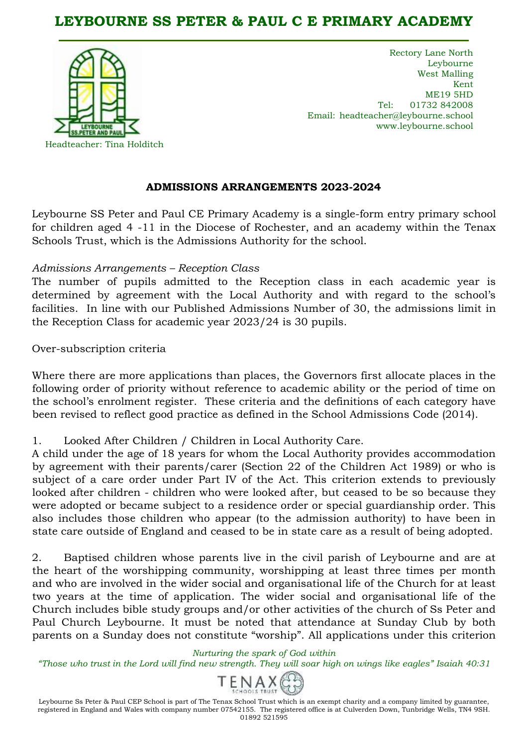# **LEYBOURNE SS PETER & PAUL C E PRIMARY ACADEMY**



Rectory Lane North Leybourne West Malling Kent ME19 5HD Tel: 01732 842008 Email: headteacher@leybourne.school www.leybourne.school

#### **ADMISSIONS ARRANGEMENTS 2023-2024**

Leybourne SS Peter and Paul CE Primary Academy is a single-form entry primary school for children aged 4 -11 in the Diocese of Rochester, and an academy within the Tenax Schools Trust, which is the Admissions Authority for the school.

#### *Admissions Arrangements – Reception Class*

The number of pupils admitted to the Reception class in each academic year is determined by agreement with the Local Authority and with regard to the school's facilities. In line with our Published Admissions Number of 30, the admissions limit in the Reception Class for academic year 2023/24 is 30 pupils.

Over-subscription criteria

Where there are more applications than places, the Governors first allocate places in the following order of priority without reference to academic ability or the period of time on the school's enrolment register. These criteria and the definitions of each category have been revised to reflect good practice as defined in the School Admissions Code (2014).

1. Looked After Children / Children in Local Authority Care.

A child under the age of 18 years for whom the Local Authority provides accommodation by agreement with their parents/carer (Section 22 of the Children Act 1989) or who is subject of a care order under Part IV of the Act. This criterion extends to previously looked after children - children who were looked after, but ceased to be so because they were adopted or became subject to a residence order or special guardianship order. This also includes those children who appear (to the admission authority) to have been in state care outside of England and ceased to be in state care as a result of being adopted.

2. Baptised children whose parents live in the civil parish of Leybourne and are at the heart of the worshipping community, worshipping at least three times per month and who are involved in the wider social and organisational life of the Church for at least two years at the time of application. The wider social and organisational life of the Church includes bible study groups and/or other activities of the church of Ss Peter and Paul Church Leybourne. It must be noted that attendance at Sunday Club by both parents on a Sunday does not constitute "worship". All applications under this criterion

# *Nurturing the spark of God within*

*"Those who trust in the Lord will find new strength. They will soar high on wings like eagles" Isaiah 40:31*



Leybourne Ss Peter & Paul CEP School is part of The Tenax School Trust which is an exempt charity and a company limited by guarantee, registered in England and Wales with company number 07542155. The registered office is at Culverden Down, Tunbridge Wells, TN4 9SH. 01892 521595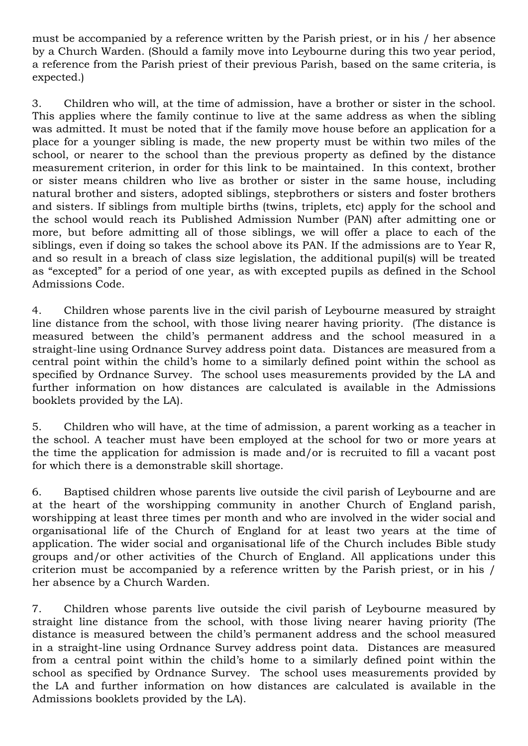must be accompanied by a reference written by the Parish priest, or in his / her absence by a Church Warden. (Should a family move into Leybourne during this two year period, a reference from the Parish priest of their previous Parish, based on the same criteria, is expected.)

3. Children who will, at the time of admission, have a brother or sister in the school. This applies where the family continue to live at the same address as when the sibling was admitted. It must be noted that if the family move house before an application for a place for a younger sibling is made, the new property must be within two miles of the school, or nearer to the school than the previous property as defined by the distance measurement criterion, in order for this link to be maintained. In this context, brother or sister means children who live as brother or sister in the same house, including natural brother and sisters, adopted siblings, stepbrothers or sisters and foster brothers and sisters. If siblings from multiple births (twins, triplets, etc) apply for the school and the school would reach its Published Admission Number (PAN) after admitting one or more, but before admitting all of those siblings, we will offer a place to each of the siblings, even if doing so takes the school above its PAN. If the admissions are to Year R, and so result in a breach of class size legislation, the additional pupil(s) will be treated as "excepted" for a period of one year, as with excepted pupils as defined in the School Admissions Code.

4. Children whose parents live in the civil parish of Leybourne measured by straight line distance from the school, with those living nearer having priority. (The distance is measured between the child's permanent address and the school measured in a straight-line using Ordnance Survey address point data. Distances are measured from a central point within the child's home to a similarly defined point within the school as specified by Ordnance Survey. The school uses measurements provided by the LA and further information on how distances are calculated is available in the Admissions booklets provided by the LA).

5. Children who will have, at the time of admission, a parent working as a teacher in the school. A teacher must have been employed at the school for two or more years at the time the application for admission is made and/or is recruited to fill a vacant post for which there is a demonstrable skill shortage.

6. Baptised children whose parents live outside the civil parish of Leybourne and are at the heart of the worshipping community in another Church of England parish, worshipping at least three times per month and who are involved in the wider social and organisational life of the Church of England for at least two years at the time of application. The wider social and organisational life of the Church includes Bible study groups and/or other activities of the Church of England. All applications under this criterion must be accompanied by a reference written by the Parish priest, or in his / her absence by a Church Warden.

7. Children whose parents live outside the civil parish of Leybourne measured by straight line distance from the school, with those living nearer having priority (The distance is measured between the child's permanent address and the school measured in a straight-line using Ordnance Survey address point data. Distances are measured from a central point within the child's home to a similarly defined point within the school as specified by Ordnance Survey. The school uses measurements provided by the LA and further information on how distances are calculated is available in the Admissions booklets provided by the LA).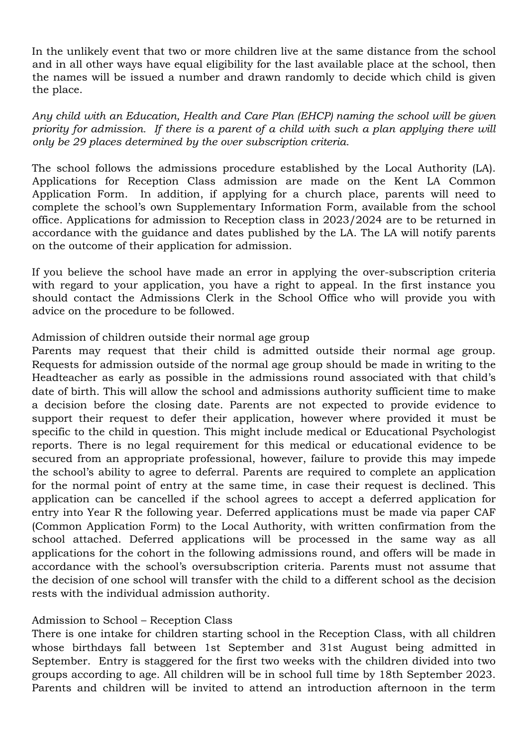In the unlikely event that two or more children live at the same distance from the school and in all other ways have equal eligibility for the last available place at the school, then the names will be issued a number and drawn randomly to decide which child is given the place.

*Any child with an Education, Health and Care Plan (EHCP) naming the school will be given priority for admission. If there is a parent of a child with such a plan applying there will only be 29 places determined by the over subscription criteria.* 

The school follows the admissions procedure established by the Local Authority (LA). Applications for Reception Class admission are made on the Kent LA Common Application Form. In addition, if applying for a church place, parents will need to complete the school's own Supplementary Information Form, available from the school office. Applications for admission to Reception class in 2023/2024 are to be returned in accordance with the guidance and dates published by the LA. The LA will notify parents on the outcome of their application for admission.

If you believe the school have made an error in applying the over-subscription criteria with regard to your application, you have a right to appeal. In the first instance you should contact the Admissions Clerk in the School Office who will provide you with advice on the procedure to be followed.

### Admission of children outside their normal age group

Parents may request that their child is admitted outside their normal age group. Requests for admission outside of the normal age group should be made in writing to the Headteacher as early as possible in the admissions round associated with that child's date of birth. This will allow the school and admissions authority sufficient time to make a decision before the closing date. Parents are not expected to provide evidence to support their request to defer their application, however where provided it must be specific to the child in question. This might include medical or Educational Psychologist reports. There is no legal requirement for this medical or educational evidence to be secured from an appropriate professional, however, failure to provide this may impede the school's ability to agree to deferral. Parents are required to complete an application for the normal point of entry at the same time, in case their request is declined. This application can be cancelled if the school agrees to accept a deferred application for entry into Year R the following year. Deferred applications must be made via paper CAF (Common Application Form) to the Local Authority, with written confirmation from the school attached. Deferred applications will be processed in the same way as all applications for the cohort in the following admissions round, and offers will be made in accordance with the school's oversubscription criteria. Parents must not assume that the decision of one school will transfer with the child to a different school as the decision rests with the individual admission authority.

## Admission to School – Reception Class

There is one intake for children starting school in the Reception Class, with all children whose birthdays fall between 1st September and 31st August being admitted in September. Entry is staggered for the first two weeks with the children divided into two groups according to age. All children will be in school full time by 18th September 2023. Parents and children will be invited to attend an introduction afternoon in the term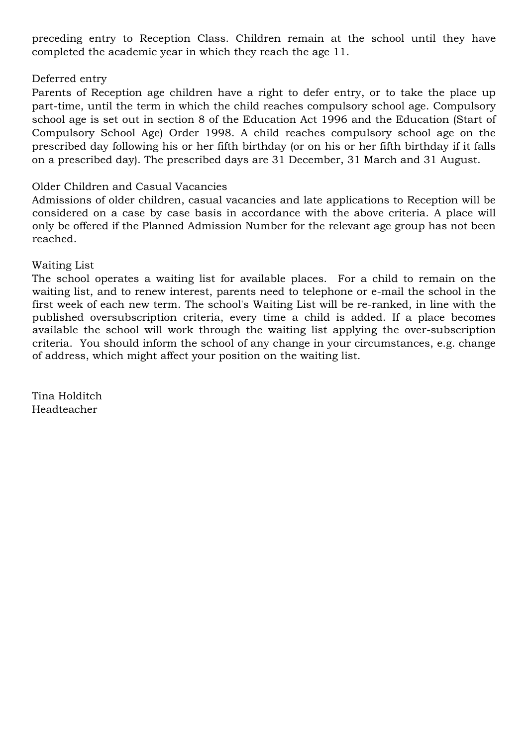preceding entry to Reception Class. Children remain at the school until they have completed the academic year in which they reach the age 11.

## Deferred entry

Parents of Reception age children have a right to defer entry, or to take the place up part-time, until the term in which the child reaches compulsory school age. Compulsory school age is set out in section 8 of the Education Act 1996 and the Education (Start of Compulsory School Age) Order 1998. A child reaches compulsory school age on the prescribed day following his or her fifth birthday (or on his or her fifth birthday if it falls on a prescribed day). The prescribed days are 31 December, 31 March and 31 August.

### Older Children and Casual Vacancies

Admissions of older children, casual vacancies and late applications to Reception will be considered on a case by case basis in accordance with the above criteria. A place will only be offered if the Planned Admission Number for the relevant age group has not been reached.

### Waiting List

The school operates a waiting list for available places. For a child to remain on the waiting list, and to renew interest, parents need to telephone or e-mail the school in the first week of each new term. The school's Waiting List will be re-ranked, in line with the published oversubscription criteria, every time a child is added. If a place becomes available the school will work through the waiting list applying the over-subscription criteria. You should inform the school of any change in your circumstances, e.g. change of address, which might affect your position on the waiting list.

Tina Holditch Headteacher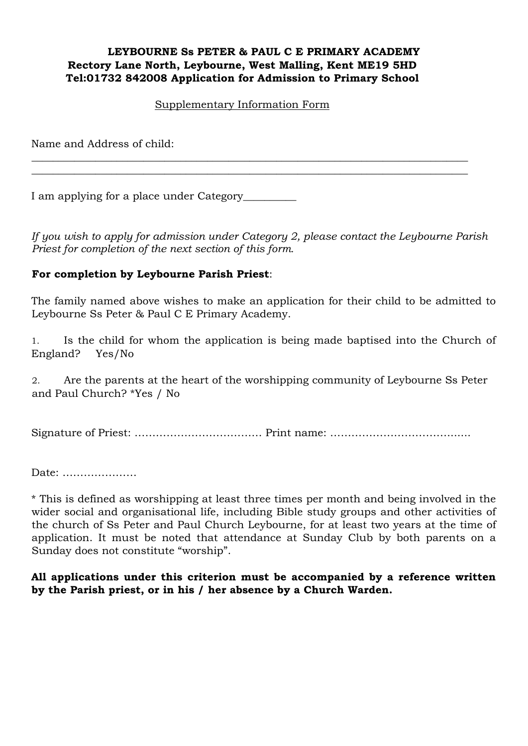#### **LEYBOURNE Ss PETER & PAUL C E PRIMARY ACADEMY Rectory Lane North, Leybourne, West Malling, Kent ME19 5HD Tel:01732 842008 Application for Admission to Primary School**

#### Supplementary Information Form

\_\_\_\_\_\_\_\_\_\_\_\_\_\_\_\_\_\_\_\_\_\_\_\_\_\_\_\_\_\_\_\_\_\_\_\_\_\_\_\_\_\_\_\_\_\_\_\_\_\_\_\_\_\_\_\_\_\_\_\_\_\_\_\_\_\_\_\_\_\_\_\_\_\_\_\_\_\_\_\_\_\_ \_\_\_\_\_\_\_\_\_\_\_\_\_\_\_\_\_\_\_\_\_\_\_\_\_\_\_\_\_\_\_\_\_\_\_\_\_\_\_\_\_\_\_\_\_\_\_\_\_\_\_\_\_\_\_\_\_\_\_\_\_\_\_\_\_\_\_\_\_\_\_\_\_\_\_\_\_\_\_\_\_\_

Name and Address of child:

I am applying for a place under Category\_\_\_\_\_\_\_\_\_\_

*If you wish to apply for admission under Category 2, please contact the Leybourne Parish Priest for completion of the next section of this form.* 

## **For completion by Leybourne Parish Priest**:

The family named above wishes to make an application for their child to be admitted to Leybourne Ss Peter & Paul C E Primary Academy.

1. Is the child for whom the application is being made baptised into the Church of England? Yes/No

2. Are the parents at the heart of the worshipping community of Leybourne Ss Peter and Paul Church? \*Yes / No

Signature of Priest: ……………………………… Print name: …………………………….......

Date: …………………

\* This is defined as worshipping at least three times per month and being involved in the wider social and organisational life, including Bible study groups and other activities of the church of Ss Peter and Paul Church Leybourne, for at least two years at the time of application. It must be noted that attendance at Sunday Club by both parents on a Sunday does not constitute "worship".

### **All applications under this criterion must be accompanied by a reference written by the Parish priest, or in his / her absence by a Church Warden.**